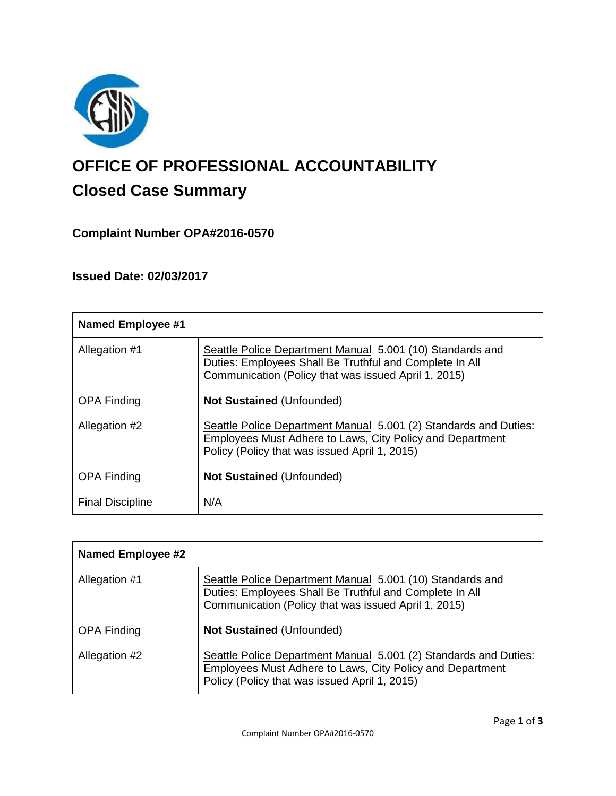

# **OFFICE OF PROFESSIONAL ACCOUNTABILITY Closed Case Summary**

# **Complaint Number OPA#2016-0570**

# **Issued Date: 02/03/2017**

| <b>Named Employee #1</b> |                                                                                                                                                                                |
|--------------------------|--------------------------------------------------------------------------------------------------------------------------------------------------------------------------------|
| Allegation #1            | Seattle Police Department Manual 5.001 (10) Standards and<br>Duties: Employees Shall Be Truthful and Complete In All<br>Communication (Policy that was issued April 1, 2015)   |
| <b>OPA Finding</b>       | <b>Not Sustained (Unfounded)</b>                                                                                                                                               |
| Allegation #2            | Seattle Police Department Manual 5.001 (2) Standards and Duties:<br>Employees Must Adhere to Laws, City Policy and Department<br>Policy (Policy that was issued April 1, 2015) |
| <b>OPA Finding</b>       | <b>Not Sustained (Unfounded)</b>                                                                                                                                               |
| <b>Final Discipline</b>  | N/A                                                                                                                                                                            |

| <b>Named Employee #2</b> |                                                                                                                                                                                |
|--------------------------|--------------------------------------------------------------------------------------------------------------------------------------------------------------------------------|
| Allegation #1            | Seattle Police Department Manual 5.001 (10) Standards and<br>Duties: Employees Shall Be Truthful and Complete In All<br>Communication (Policy that was issued April 1, 2015)   |
| <b>OPA Finding</b>       | <b>Not Sustained (Unfounded)</b>                                                                                                                                               |
| Allegation #2            | Seattle Police Department Manual 5.001 (2) Standards and Duties:<br>Employees Must Adhere to Laws, City Policy and Department<br>Policy (Policy that was issued April 1, 2015) |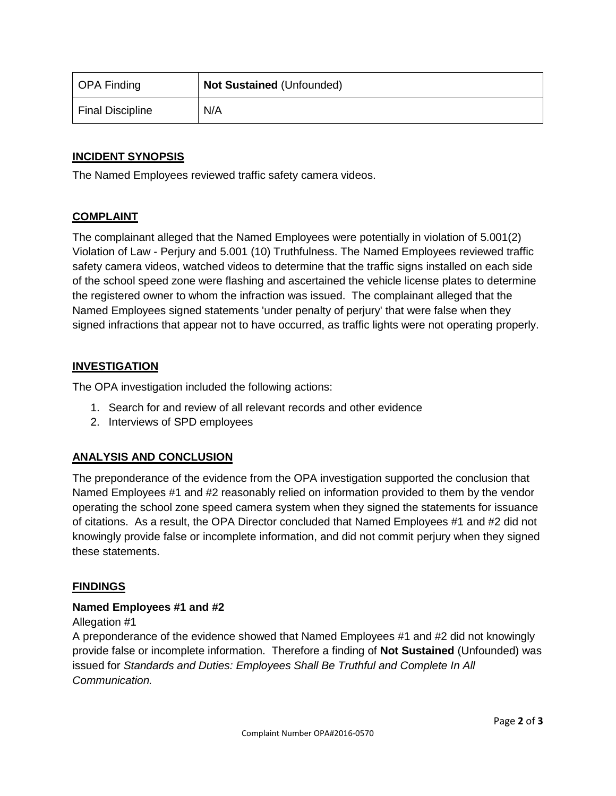| OPA Finding      | <b>Not Sustained (Unfounded)</b> |
|------------------|----------------------------------|
| Final Discipline | N/A                              |

## **INCIDENT SYNOPSIS**

The Named Employees reviewed traffic safety camera videos.

### **COMPLAINT**

The complainant alleged that the Named Employees were potentially in violation of 5.001(2) Violation of Law - Perjury and 5.001 (10) Truthfulness. The Named Employees reviewed traffic safety camera videos, watched videos to determine that the traffic signs installed on each side of the school speed zone were flashing and ascertained the vehicle license plates to determine the registered owner to whom the infraction was issued. The complainant alleged that the Named Employees signed statements 'under penalty of perjury' that were false when they signed infractions that appear not to have occurred, as traffic lights were not operating properly.

#### **INVESTIGATION**

The OPA investigation included the following actions:

- 1. Search for and review of all relevant records and other evidence
- 2. Interviews of SPD employees

## **ANALYSIS AND CONCLUSION**

The preponderance of the evidence from the OPA investigation supported the conclusion that Named Employees #1 and #2 reasonably relied on information provided to them by the vendor operating the school zone speed camera system when they signed the statements for issuance of citations. As a result, the OPA Director concluded that Named Employees #1 and #2 did not knowingly provide false or incomplete information, and did not commit perjury when they signed these statements.

#### **FINDINGS**

#### **Named Employees #1 and #2**

Allegation #1

A preponderance of the evidence showed that Named Employees #1 and #2 did not knowingly provide false or incomplete information. Therefore a finding of **Not Sustained** (Unfounded) was issued for *Standards and Duties: Employees Shall Be Truthful and Complete In All Communication.*